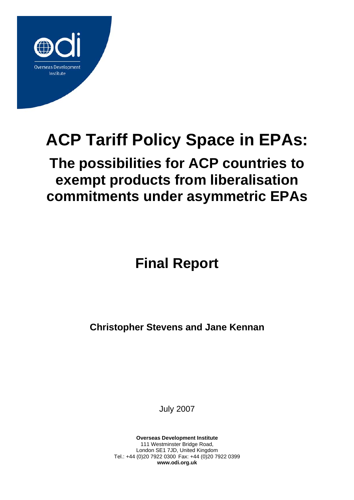

# **ACP Tariff Policy Space in EPAs:**

# **The possibilities for ACP countries to exempt products from liberalisation commitments under asymmetric EPAs**

**Final Report** 

**Christopher Stevens and Jane Kennan**

July 2007

**Overseas Development Institute** 111 Westminster Bridge Road, London SE1 7JD, United Kingdom Tel.: +44 (0)20 7922 0300 Fax: +44 (0)20 7922 0399 **www.odi.org.uk**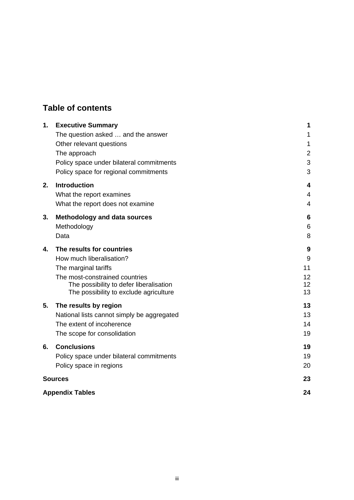# **Table of contents**

| 1. | <b>Executive Summary</b>                   | 1              |
|----|--------------------------------------------|----------------|
|    | The question asked  and the answer         | 1              |
|    | Other relevant questions                   | 1              |
|    | The approach                               | $\overline{2}$ |
|    | Policy space under bilateral commitments   | 3              |
|    | Policy space for regional commitments      | 3              |
| 2. | <b>Introduction</b>                        | 4              |
|    | What the report examines                   | $\overline{4}$ |
|    | What the report does not examine           | 4              |
| 3. | <b>Methodology and data sources</b>        | 6              |
|    | Methodology                                | 6              |
|    | Data                                       | 8              |
| 4. | The results for countries                  | 9              |
|    | How much liberalisation?                   | 9              |
|    | The marginal tariffs                       | 11             |
|    | The most-constrained countries             | 12             |
|    | The possibility to defer liberalisation    | 12<br>13       |
|    | The possibility to exclude agriculture     |                |
| 5. | The results by region                      | 13             |
|    | National lists cannot simply be aggregated | 13             |
|    | The extent of incoherence                  | 14             |
|    | The scope for consolidation                | 19             |
| 6. | <b>Conclusions</b>                         | 19             |
|    | Policy space under bilateral commitments   | 19             |
|    | Policy space in regions                    | 20             |
|    | <b>Sources</b>                             | 23             |
|    | <b>Appendix Tables</b>                     | 24             |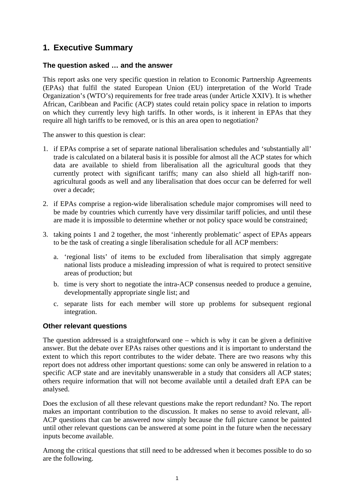# **1. Executive Summary**

#### **The question asked … and the answer**

This report asks one very specific question in relation to Economic Partnership Agreements (EPAs) that fulfil the stated European Union (EU) interpretation of the World Trade Organization's (WTO's) requirements for free trade areas (under Article XXIV). It is whether African, Caribbean and Pacific (ACP) states could retain policy space in relation to imports on which they currently levy high tariffs. In other words, is it inherent in EPAs that they require all high tariffs to be removed, or is this an area open to negotiation?

The answer to this question is clear:

- 1. if EPAs comprise a set of separate national liberalisation schedules and 'substantially all' trade is calculated on a bilateral basis it is possible for almost all the ACP states for which data are available to shield from liberalisation all the agricultural goods that they currently protect with significant tariffs; many can also shield all high-tariff nonagricultural goods as well and any liberalisation that does occur can be deferred for well over a decade;
- 2. if EPAs comprise a region-wide liberalisation schedule major compromises will need to be made by countries which currently have very dissimilar tariff policies, and until these are made it is impossible to determine whether or not policy space would be constrained;
- 3. taking points 1 and 2 together, the most 'inherently problematic' aspect of EPAs appears to be the task of creating a single liberalisation schedule for all ACP members:
	- a. 'regional lists' of items to be excluded from liberalisation that simply aggregate national lists produce a misleading impression of what is required to protect sensitive areas of production; but
	- b. time is very short to negotiate the intra-ACP consensus needed to produce a genuine, developmentally appropriate single list; and
	- c. separate lists for each member will store up problems for subsequent regional integration.

#### **Other relevant questions**

The question addressed is a straightforward one – which is why it can be given a definitive answer. But the debate over EPAs raises other questions and it is important to understand the extent to which this report contributes to the wider debate. There are two reasons why this report does not address other important questions: some can only be answered in relation to a specific ACP state and are inevitably unanswerable in a study that considers all ACP states; others require information that will not become available until a detailed draft EPA can be analysed.

Does the exclusion of all these relevant questions make the report redundant? No. The report makes an important contribution to the discussion. It makes no sense to avoid relevant, all-ACP questions that can be answered now simply because the full picture cannot be painted until other relevant questions can be answered at some point in the future when the necessary inputs become available.

Among the critical questions that still need to be addressed when it becomes possible to do so are the following.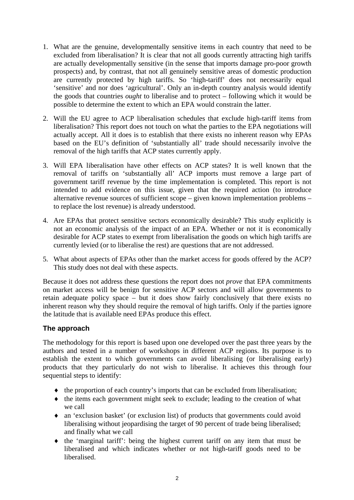- 1. What are the genuine, developmentally sensitive items in each country that need to be excluded from liberalisation? It is clear that not all goods currently attracting high tariffs are actually developmentally sensitive (in the sense that imports damage pro-poor growth prospects) and, by contrast, that not all genuinely sensitive areas of domestic production are currently protected by high tariffs. So 'high-tariff' does not necessarily equal 'sensitive' and nor does 'agricultural'. Only an in-depth country analysis would identify the goods that countries *ought* to liberalise and to protect – following which it would be possible to determine the extent to which an EPA would constrain the latter.
- 2. Will the EU agree to ACP liberalisation schedules that exclude high-tariff items from liberalisation? This report does not touch on what the parties to the EPA negotiations will actually accept. All it does is to establish that there exists no inherent reason why EPAs based on the EU's definition of 'substantially all' trade should necessarily involve the removal of the high tariffs that ACP states currently apply.
- 3. Will EPA liberalisation have other effects on ACP states? It is well known that the removal of tariffs on 'substantially all' ACP imports must remove a large part of government tariff revenue by the time implementation is completed. This report is not intended to add evidence on this issue, given that the required action (to introduce alternative revenue sources of sufficient scope – given known implementation problems – to replace the lost revenue) is already understood.
- 4. Are EPAs that protect sensitive sectors economically desirable? This study explicitly is not an economic analysis of the impact of an EPA. Whether or not it is economically desirable for ACP states to exempt from liberalisation the goods on which high tariffs are currently levied (or to liberalise the rest) are questions that are not addressed.
- 5. What about aspects of EPAs other than the market access for goods offered by the ACP? This study does not deal with these aspects.

Because it does not address these questions the report does not *prove* that EPA commitments on market access will be benign for sensitive ACP sectors and will allow governments to retain adequate policy space – but it does show fairly conclusively that there exists no inherent reason why they should require the removal of high tariffs. Only if the parties ignore the latitude that is available need EPAs produce this effect.

#### **The approach**

The methodology for this report is based upon one developed over the past three years by the authors and tested in a number of workshops in different ACP regions. Its purpose is to establish the extent to which governments can avoid liberalising (or liberalising early) products that they particularly do not wish to liberalise. It achieves this through four sequential steps to identify:

- ♦ the proportion of each country's imports that can be excluded from liberalisation;
- ♦ the items each government might seek to exclude; leading to the creation of what we call
- ♦ an 'exclusion basket' (or exclusion list) of products that governments could avoid liberalising without jeopardising the target of 90 percent of trade being liberalised; and finally what we call
- ♦ the 'marginal tariff': being the highest current tariff on any item that must be liberalised and which indicates whether or not high-tariff goods need to be liberalised.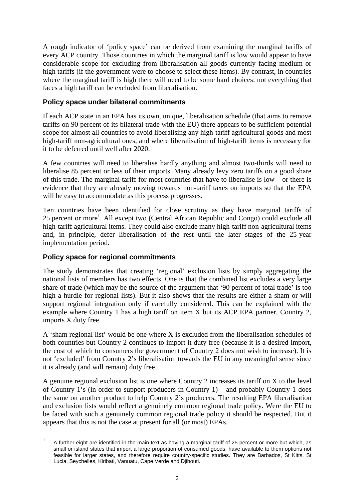A rough indicator of 'policy space' can be derived from examining the marginal tariffs of every ACP country. Those countries in which the marginal tariff is low would appear to have considerable scope for excluding from liberalisation all goods currently facing medium or high tariffs (if the government were to choose to select these items). By contrast, in countries where the marginal tariff is high there will need to be some hard choices: not everything that faces a high tariff can be excluded from liberalisation.

#### **Policy space under bilateral commitments**

If each ACP state in an EPA has its own, unique, liberalisation schedule (that aims to remove tariffs on 90 percent of its bilateral trade with the EU) there appears to be sufficient potential scope for almost all countries to avoid liberalising any high-tariff agricultural goods and most high-tariff non-agricultural ones, and where liberalisation of high-tariff items is necessary for it to be deferred until well after 2020.

A few countries will need to liberalise hardly anything and almost two-thirds will need to liberalise 85 percent or less of their imports. Many already levy zero tariffs on a good share of this trade. The marginal tariff for most countries that have to liberalise is low – or there is evidence that they are already moving towards non-tariff taxes on imports so that the EPA will be easy to accommodate as this process progresses.

Ten countries have been identified for close scrutiny as they have marginal tariffs of 25 percent or more<sup>1</sup>. All except two (Central African Republic and Congo) could exclude all high-tariff agricultural items. They could also exclude many high-tariff non-agricultural items and, in principle, defer liberalisation of the rest until the later stages of the 25-year implementation period.

#### **Policy space for regional commitments**

 $\overline{a}$ 

The study demonstrates that creating 'regional' exclusion lists by simply aggregating the national lists of members has two effects. One is that the combined list excludes a very large share of trade (which may be the source of the argument that '90 percent of total trade' is too high a hurdle for regional lists). But it also shows that the results are either a sham or will support regional integration only if carefully considered. This can be explained with the example where Country 1 has a high tariff on item X but its ACP EPA partner, Country 2, imports X duty free.

A 'sham regional list' would be one where X is excluded from the liberalisation schedules of both countries but Country 2 continues to import it duty free (because it is a desired import, the cost of which to consumers the government of Country 2 does not wish to increase). It is not 'excluded' from Country 2's liberalisation towards the EU in any meaningful sense since it is already (and will remain) duty free.

A genuine regional exclusion list is one where Country 2 increases its tariff on X to the level of Country 1's (in order to support producers in Country 1) – and probably Country 1 does the same on another product to help Country 2's producers. The resulting EPA liberalisation and exclusion lists would reflect a genuinely common regional trade policy. Were the EU to be faced with such a genuinely common regional trade policy it should be respected. But it appears that this is not the case at present for all (or most) EPAs.

<sup>1</sup> A further eight are identified in the main text as having a marginal tariff of 25 percent or more but which, as small or island states that import a large proportion of consumed goods, have available to them options not feasible for larger states, and therefore require country-specific studies. They are Barbados, St Kitts, St Lucia, Seychelles, Kiribati, Vanuatu, Cape Verde and Djibouti.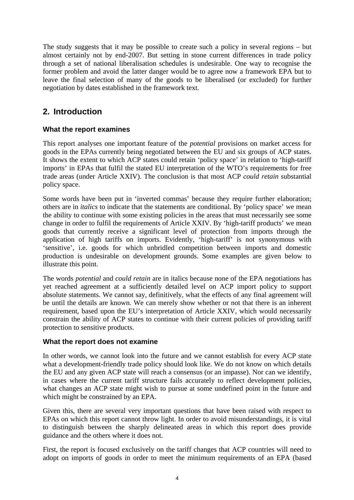The study suggests that it may be possible to create such a policy in several regions – but almost certainly not by end-2007. But setting in stone current differences in trade policy through a set of national liberalisation schedules is undesirable. One way to recognise the former problem and avoid the latter danger would be to agree now a framework EPA but to leave the final selection of many of the goods to be liberalised (or excluded) for further negotiation by dates established in the framework text.

### **2. Introduction**

#### **What the report examines**

This report analyses one important feature of the *potential* provisions on market access for goods in the EPAs currently being negotiated between the EU and six groups of ACP states. It shows the extent to which ACP states could retain 'policy space' in relation to 'high-tariff imports' in EPAs that fulfil the stated EU interpretation of the WTO's requirements for free trade areas (under Article XXIV). The conclusion is that most ACP *could retain* substantial policy space.

Some words have been put in 'inverted commas' because they require further elaboration; others are in *italics* to indicate that the statements are conditional. By 'policy space' we mean the ability to continue with some existing policies in the areas that must necessarily see some change in order to fulfil the requirements of Article XXIV. By 'high-tariff products' we mean goods that currently receive a significant level of protection from imports through the application of high tariffs on imports. Evidently, 'high-tariff' is not synonymous with 'sensitive', i.e. goods for which unbridled competition between imports and domestic production is undesirable on development grounds. Some examples are given below to illustrate this point.

The words *potential* and *could retain* are in italics because none of the EPA negotiations has yet reached agreement at a sufficiently detailed level on ACP import policy to support absolute statements. We cannot say, definitively, what the effects of any final agreement will be until the details are known. We can merely show whether or not that there is an inherent requirement, based upon the EU's interpretation of Article XXIV, which would necessarily constrain the ability of ACP states to continue with their current policies of providing tariff protection to sensitive products.

#### **What the report does not examine**

In other words, we cannot look into the future and we cannot establish for every ACP state what a development-friendly trade policy should look like. We do not know on which details the EU and any given ACP state will reach a consensus (or an impasse). Nor can we identify, in cases where the current tariff structure fails accurately to reflect development policies, what changes an ACP state might wish to pursue at some undefined point in the future and which might be constrained by an EPA.

Given this, there are several very important questions that have been raised with respect to EPAs on which this report cannot throw light. In order to avoid misunderstandings, it is vital to distinguish between the sharply delineated areas in which this report does provide guidance and the others where it does not.

First, the report is focused exclusively on the tariff changes that ACP countries will need to adopt on imports of goods in order to meet the minimum requirements of an EPA (based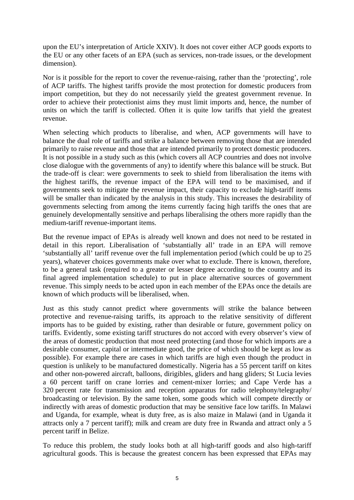upon the EU's interpretation of Article XXIV). It does not cover either ACP goods exports to the EU or any other facets of an EPA (such as services, non-trade issues, or the development dimension).

Nor is it possible for the report to cover the revenue-raising, rather than the 'protecting', role of ACP tariffs. The highest tariffs provide the most protection for domestic producers from import competition, but they do not necessarily yield the greatest government revenue. In order to achieve their protectionist aims they must limit imports and, hence, the number of units on which the tariff is collected. Often it is quite low tariffs that yield the greatest revenue.

When selecting which products to liberalise, and when, ACP governments will have to balance the dual role of tariffs and strike a balance between removing those that are intended primarily to raise revenue and those that are intended primarily to protect domestic producers. It is not possible in a study such as this (which covers all ACP countries and does not involve close dialogue with the governments of any) to identify where this balance will be struck. But the trade-off is clear: were governments to seek to shield from liberalisation the items with the highest tariffs, the revenue impact of the EPA will tend to be maximised, and if governments seek to mitigate the revenue impact, their capacity to exclude high-tariff items will be smaller than indicated by the analysis in this study. This increases the desirability of governments selecting from among the items currently facing high tariffs the ones that are genuinely developmentally sensitive and perhaps liberalising the others more rapidly than the medium-tariff revenue-important items.

But the revenue impact of EPAs is already well known and does not need to be restated in detail in this report. Liberalisation of 'substantially all' trade in an EPA will remove 'substantially all' tariff revenue over the full implementation period (which could be up to 25 years), whatever choices governments make over what to exclude. There is known, therefore, to be a general task (required to a greater or lesser degree according to the country and its final agreed implementation schedule) to put in place alternative sources of government revenue. This simply needs to be acted upon in each member of the EPAs once the details are known of which products will be liberalised, when.

Just as this study cannot predict where governments will strike the balance between protective and revenue-raising tariffs, its approach to the relative sensitivity of different imports has to be guided by existing, rather than desirable or future, government policy on tariffs. Evidently, some existing tariff structures do not accord with every observer's view of the areas of domestic production that most need protecting (and those for which imports are a desirable consumer, capital or intermediate good, the price of which should be kept as low as possible). For example there are cases in which tariffs are high even though the product in question is unlikely to be manufactured domestically. Nigeria has a 55 percent tariff on kites and other non-powered aircraft, balloons, dirigibles, gliders and hang gliders; St Lucia levies a 60 percent tariff on crane lorries and cement-mixer lorries; and Cape Verde has a 320 percent rate for transmission and reception apparatus for radio telephony/telegraphy/ broadcasting or television. By the same token, some goods which will compete directly or indirectly with areas of domestic production that may be sensitive face low tariffs. In Malawi and Uganda, for example, wheat is duty free, as is also maize in Malawi (and in Uganda it attracts only a 7 percent tariff); milk and cream are duty free in Rwanda and attract only a 5 percent tariff in Belize.

To reduce this problem, the study looks both at all high-tariff goods and also high-tariff agricultural goods. This is because the greatest concern has been expressed that EPAs may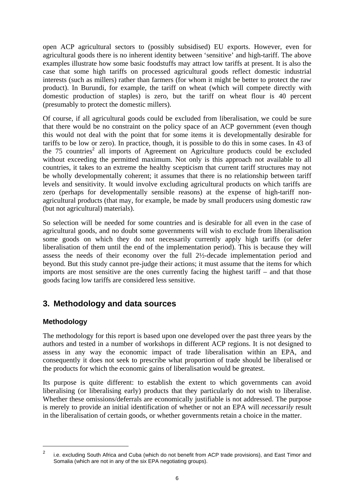open ACP agricultural sectors to (possibly subsidised) EU exports. However, even for agricultural goods there is no inherent identity between 'sensitive' and high-tariff. The above examples illustrate how some basic foodstuffs may attract low tariffs at present. It is also the case that some high tariffs on processed agricultural goods reflect domestic industrial interests (such as millers) rather than farmers (for whom it might be better to protect the raw product). In Burundi, for example, the tariff on wheat (which will compete directly with domestic production of staples) is zero, but the tariff on wheat flour is 40 percent (presumably to protect the domestic millers).

Of course, if all agricultural goods could be excluded from liberalisation, we could be sure that there would be no constraint on the policy space of an ACP government (even though this would not deal with the point that for some items it is developmentally desirable for tariffs to be low or zero). In practice, though, it is possible to do this in some cases. In 43 of the 75 countries<sup>2</sup> all imports of Agreement on Agriculture products could be excluded without exceeding the permitted maximum. Not only is this approach not available to all countries, it takes to an extreme the healthy scepticism that current tariff structures may not be wholly developmentally coherent; it assumes that there is no relationship between tariff levels and sensitivity. It would involve excluding agricultural products on which tariffs are zero (perhaps for developmentally sensible reasons) at the expense of high-tariff nonagricultural products (that may, for example, be made by small producers using domestic raw (but not agricultural) materials).

So selection will be needed for some countries and is desirable for all even in the case of agricultural goods, and no doubt some governments will wish to exclude from liberalisation some goods on which they do not necessarily currently apply high tariffs (or defer liberalisation of them until the end of the implementation period). This is because they will assess the needs of their economy over the full 2½-decade implementation period and beyond. But this study cannot pre-judge their actions; it must assume that the items for which imports are most sensitive are the ones currently facing the highest tariff – and that those goods facing low tariffs are considered less sensitive.

# **3. Methodology and data sources**

#### **Methodology**

 $\overline{a}$ 

The methodology for this report is based upon one developed over the past three years by the authors and tested in a number of workshops in different ACP regions. It is not designed to assess in any way the economic impact of trade liberalisation within an EPA, and consequently it does not seek to prescribe what proportion of trade should be liberalised or the products for which the economic gains of liberalisation would be greatest.

Its purpose is quite different: to establish the extent to which governments can avoid liberalising (or liberalising early) products that they particularly do not wish to liberalise. Whether these omissions/deferrals are economically justifiable is not addressed. The purpose is merely to provide an initial identification of whether or not an EPA will *necessarily* result in the liberalisation of certain goods, or whether governments retain a choice in the matter.

 $\overline{2}$  i.e. excluding South Africa and Cuba (which do not benefit from ACP trade provisions), and East Timor and Somalia (which are not in any of the six EPA negotiating groups).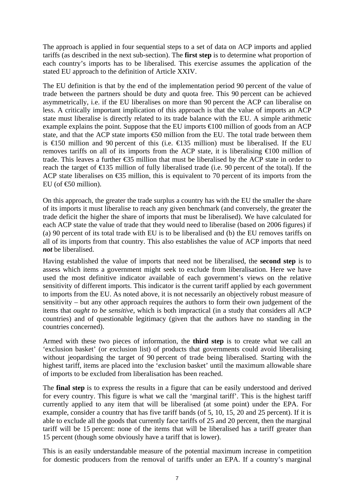The approach is applied in four sequential steps to a set of data on ACP imports and applied tariffs (as described in the next sub-section). The **first step** is to determine what proportion of each country's imports has to be liberalised. This exercise assumes the application of the stated EU approach to the definition of Article XXIV.

The EU definition is that by the end of the implementation period 90 percent of the value of trade between the partners should be duty and quota free. This 90 percent can be achieved asymmetrically, i.e. if the EU liberalises on more than 90 percent the ACP can liberalise on less. A critically important implication of this approach is that the value of imports an ACP state must liberalise is directly related to its trade balance with the EU. A simple arithmetic example explains the point. Suppose that the EU imports  $\in$  100 million of goods from an ACP state, and that the ACP state imports  $\epsilon$ 50 million from the EU. The total trade between them is  $\in$  50 million and 90 percent of this (i.e.  $\in$  35 million) must be liberalised. If the EU removes tariffs on all of its imports from the ACP state, it is liberalising  $\epsilon 000$  million of trade. This leaves a further €35 million that must be liberalised by the ACP state in order to reach the target of  $\in$  35 million of fully liberalised trade (i.e. 90 percent of the total). If the ACP state liberalises on  $\epsilon$ 35 million, this is equivalent to 70 percent of its imports from the EU (of  $\bigoplus$  million).

On this approach, the greater the trade surplus a country has with the EU the smaller the share of its imports it must liberalise to reach any given benchmark (and conversely, the greater the trade deficit the higher the share of imports that must be liberalised). We have calculated for each ACP state the value of trade that they would need to liberalise (based on 2006 figures) if (a) 90 percent of its total trade with EU is to be liberalised and (b) the EU removes tariffs on all of its imports from that country. This also establishes the value of ACP imports that need *not* be liberalised.

Having established the value of imports that need not be liberalised, the **second step** is to assess which items a government might seek to exclude from liberalisation. Here we have used the most definitive indicator available of each government's views on the relative sensitivity of different imports. This indicator is the current tariff applied by each government to imports from the EU. As noted above, it is not necessarily an objectively robust measure of sensitivity – but any other approach requires the authors to form their own judgement of the items that *ought to be sensitive*, which is both impractical (in a study that considers all ACP countries) and of questionable legitimacy (given that the authors have no standing in the countries concerned).

Armed with these two pieces of information, the **third step** is to create what we call an 'exclusion basket' (or exclusion list) of products that governments could avoid liberalising without jeopardising the target of 90 percent of trade being liberalised. Starting with the highest tariff, items are placed into the 'exclusion basket' until the maximum allowable share of imports to be excluded from liberalisation has been reached.

The **final step** is to express the results in a figure that can be easily understood and derived for every country. This figure is what we call the 'marginal tariff'. This is the highest tariff currently applied to any item that will be liberalised (at some point) under the EPA. For example, consider a country that has five tariff bands (of 5, 10, 15, 20 and 25 percent). If it is able to exclude all the goods that currently face tariffs of 25 and 20 percent, then the marginal tariff will be 15 percent: none of the items that will be liberalised has a tariff greater than 15 percent (though some obviously have a tariff that is lower).

This is an easily understandable measure of the potential maximum increase in competition for domestic producers from the removal of tariffs under an EPA. If a country's marginal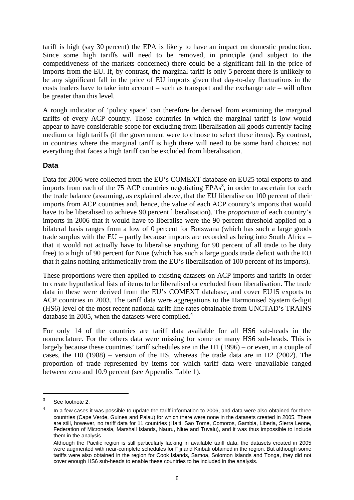tariff is high (say 30 percent) the EPA is likely to have an impact on domestic production. Since some high tariffs will need to be removed, in principle (and subject to the competitiveness of the markets concerned) there could be a significant fall in the price of imports from the EU. If, by contrast, the marginal tariff is only 5 percent there is unlikely to be any significant fall in the price of EU imports given that day-to-day fluctuations in the costs traders have to take into account – such as transport and the exchange rate – will often be greater than this level.

A rough indicator of 'policy space' can therefore be derived from examining the marginal tariffs of every ACP country. Those countries in which the marginal tariff is low would appear to have considerable scope for excluding from liberalisation all goods currently facing medium or high tariffs (if the government were to choose to select these items). By contrast, in countries where the marginal tariff is high there will need to be some hard choices: not everything that faces a high tariff can be excluded from liberalisation.

#### **Data**

Data for 2006 were collected from the EU's COMEXT database on EU25 total exports to and imports from each of the  $75$  ACP countries negotiating EPAs<sup>3</sup>, in order to ascertain for each the trade balance (assuming, as explained above, that the EU liberalise on 100 percent of their imports from ACP countries and, hence, the value of each ACP country's imports that would have to be liberalised to achieve 90 percent liberalisation). The *proportion* of each country's imports in 2006 that it would have to liberalise were the 90 percent threshold applied on a bilateral basis ranges from a low of 0 percent for Botswana (which has such a large goods trade surplus with the EU – partly because imports are recorded as being into South Africa – that it would not actually have to liberalise anything for 90 percent of all trade to be duty free) to a high of 90 percent for Niue (which has such a large goods trade deficit with the EU that it gains nothing arithmetically from the EU's liberalisation of 100 percent of its imports).

These proportions were then applied to existing datasets on ACP imports and tariffs in order to create hypothetical lists of items to be liberalised or excluded from liberalisation. The trade data in these were derived from the EU's COMEXT database, and cover EU15 exports to ACP countries in 2003. The tariff data were aggregations to the Harmonised System 6-digit (HS6) level of the most recent national tariff line rates obtainable from UNCTAD's TRAINS database in 2005, when the datasets were compiled.<sup>4</sup>

For only 14 of the countries are tariff data available for all HS6 sub-heads in the nomenclature. For the others data were missing for some or many HS6 sub-heads. This is largely because these countries' tariff schedules are in the H1 (1996) – or even, in a couple of cases, the H0 (1988) – version of the HS, whereas the trade data are in H2 (2002). The proportion of trade represented by items for which tariff data were unavailable ranged between zero and 10.9 percent (see Appendix Table 1).

 $\overline{a}$ 

<sup>3</sup> See footnote 2.

<sup>4</sup> In a few cases it was possible to update the tariff information to 2006, and data were also obtained for three countries (Cape Verde, Guinea and Palau) for which there were none in the datasets created in 2005. There are still, however, no tariff data for 11 countries (Haiti, Sao Tome, Comoros, Gambia, Liberia, Sierra Leone, Federation of Micronesia, Marshall Islands, Nauru, Niue and Tuvalu), and it was thus impossible to include them in the analysis.

Although the Pacific region is still particularly lacking in available tariff data, the datasets created in 2005 were augmented with near-complete schedules for Fiji and Kiribati obtained in the region. But although some tariffs were also obtained in the region for Cook Islands, Samoa, Solomon Islands and Tonga, they did not cover enough HS6 sub-heads to enable these countries to be included in the analysis.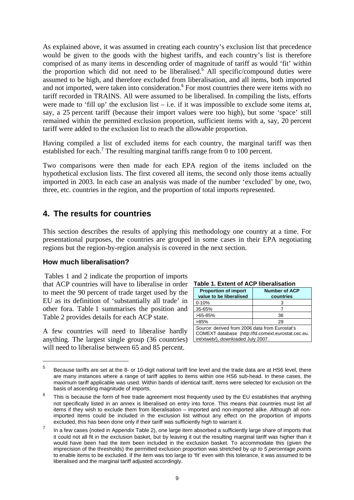As explained above, it was assumed in creating each country's exclusion list that precedence would be given to the goods with the highest tariffs, and each country's list is therefore comprised of as many items in descending order of magnitude of tariff as would 'fit' within the proportion which did not need to be liberalised.<sup>5</sup> All specific/compound duties were assumed to be high, and therefore excluded from liberalisation, and all items, both imported and not imported, were taken into consideration.<sup>6</sup> For most countries there were items with no tariff recorded in TRAINS. All were assumed to be liberalised. In compiling the lists, efforts were made to 'fill up' the exclusion list – i.e. if it was impossible to exclude some items at, say, a 25 percent tariff (because their import values were too high), but some 'space' still remained within the permitted exclusion proportion, sufficient items with a, say, 20 percent tariff were added to the exclusion list to reach the allowable proportion.

Having compiled a list of excluded items for each country, the marginal tariff was then established for each.<sup>7</sup> The resulting marginal tariffs range from 0 to 100 percent.

Two comparisons were then made for each EPA region of the items included on the hypothetical exclusion lists. The first covered all items, the second only those items actually imported in 2003. In each case an analysis was made of the number 'excluded' by one, two, three, etc. countries in the region, and the proportion of total imports represented.

# **4. The results for countries**

This section describes the results of applying this methodology one country at a time. For presentational purposes, the countries are grouped in some cases in their EPA negotiating regions but the region-by-region analysis is covered in the next section.

#### **How much liberalisation?**

 $\overline{a}$ 

 Tables 1 and 2 indicate the proportion of imports that ACP countries will have to liberalise in order to meet the 90 percent of trade target used by the EU as its definition of 'substantially all trade' in other fora. Table 1 summarises the position and Table 2 provides details for each ACP state.

A few countries will need to liberalise hardly anything. The largest single group (36 countries) will need to liberalise between 65 and 85 percent.

| Table 1. Extent of ACP liberalisation                                                       |                   |  |  |  |  |  |
|---------------------------------------------------------------------------------------------|-------------------|--|--|--|--|--|
| <b>Proportion of import</b><br><b>Number of ACP</b><br>value to be liberalised<br>countries |                   |  |  |  |  |  |
| $0 - 10%$                                                                                   |                   |  |  |  |  |  |
| 35-65%                                                                                      |                   |  |  |  |  |  |
| $>65-85%$<br>36                                                                             |                   |  |  |  |  |  |
| $>85\%$<br>29                                                                               |                   |  |  |  |  |  |
| Source: derived from 2006 data from Eurostat's                                              | $\cdots$ $\cdots$ |  |  |  |  |  |

COMEXT database (http://fd.comext.eurostat.cec.eu. int/xtweb/), downloaded July 2007.

<sup>5</sup> Because tariffs are set at the 8- or 10-digit national tariff line level and the trade data are at HS6 level, there are many instances where a range of tariff applies to items within one HS6 sub-head. In these cases, the maximum tariff applicable was used. Within bands of identical tariff, items were selected for exclusion on the basis of ascending magnitude of imports.

<sup>6</sup> This is because the form of free trade agreement most frequently used by the EU establishes that anything not specifically listed in an annex is liberalised on entry into force. This means that countries must list *all*  items if they wish to exclude them from liberalisation – imported and non-imported alike. Although all nonimported items could be included in the exclusion list without any effect on the proportion of imports excluded, this has been done only if their tariff was sufficiently high to warrant it.

<sup>7</sup> In a few cases (noted in Appendix Table 2), one large item absorbed a sufficiently large share of imports that it could not all fit in the exclusion basket, but by leaving it out the resulting marginal tariff was higher than it would have been had the item been included in the exclusion basket. To accommodate this (given the imprecision of the thresholds) the permitted exclusion proportion was stretched by *up to 5 percentage point*s to enable items to be excluded. If the item was too large to 'fit' even with this tolerance, it was assumed to be liberalised and the marginal tariff adjusted accordingly.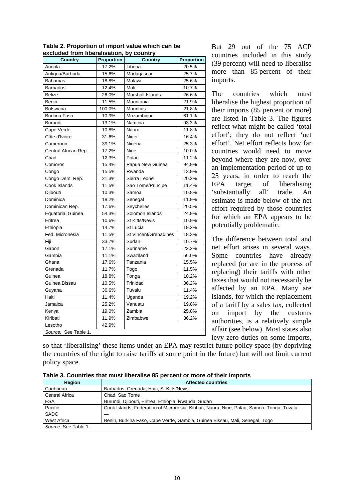| ununuu<br><b>Country</b> | <b>Proportion</b> | $\alpha$ nominocranoation, by country<br><b>Country</b> | <b>Proportion</b> |
|--------------------------|-------------------|---------------------------------------------------------|-------------------|
| Angola                   | 17.2%             | Liberia                                                 | 20.5%             |
| Antigua/Barbuda          | 15.6%             | Madagascar                                              | 25.7%             |
| <b>Bahamas</b>           | 18.8%             | Malawi                                                  | 25.6%             |
| <b>Barbados</b>          | 12.4%             | Mali                                                    | 10.7%             |
| Belize                   | 26.0%             | Marshall Islands                                        | 26.6%             |
| Benin                    | 11.5%             | Mauritania                                              | 21.9%             |
| Botswana                 | 100.0%            | <b>Mauritius</b>                                        | 21.8%             |
| Burkina Faso             | 10.9%             | Mozambique                                              | 61.1%             |
| Burundi                  | 13.1%             | Namibia                                                 | 93.3%             |
| Cape Verde               | 10.8%             | Nauru                                                   | 11.8%             |
| Côte d'Ivoire            | 31.6%             | Niger                                                   | 16.4%             |
| Cameroon                 | 39.1%             | Nigeria                                                 | 25.3%             |
| Central African Rep.     | 17.2%             | Niue                                                    | 10.0%             |
| Chad                     | 12.3%             | Palau                                                   | 11.2%             |
| Comoros                  | 15.4%             | Papua New Guinea                                        | 94.9%             |
| Congo                    | 15.5%             | Rwanda                                                  | 13.9%             |
| Congo Dem. Rep.          | 21.3%             | Sierra Leone                                            | 20.2%             |
| Cook Islands             | 11.5%             | Sao Tome/Principe                                       | 11.4%             |
| Djibouti                 | 10.3%             | Samoa                                                   | 10.8%             |
| Dominica                 | 18.2%             | Senegal                                                 | 11.9%             |
| Dominican Rep.           | 17.6%             | Seychelles                                              | 20.5%             |
| <b>Equatorial Guinea</b> | 54.3%             | Solomon Islands                                         | 24.9%             |
| Eritrea                  | 10.6%             | <b>St Kitts/Nevis</b>                                   | 10.9%             |
| Ethiopia                 | 14.7%             | St Lucia                                                | 19.2%             |
| Fed. Micronesia          | 11.5%             | St Vincent/Grenadines                                   | 18.3%             |
| Fiji                     | 33.7%             | Sudan                                                   | 10.7%             |
| Gabon                    | 17.1%             | Suriname                                                | 22.2%             |
| Gambia                   | 11.1%             | Swaziland                                               | 56.0%             |
| Ghana                    | 17.6%             | Tanzania                                                | 15.5%             |
| Grenada                  | 11.7%             | Togo                                                    | 11.5%             |
| Guinea                   | 18.8%             | Tonga                                                   | 10.2%             |
| Guinea Bissau            | 10.5%             | Trinidad                                                | 36.2%             |
| Guyana                   | 30.6%             | Tuvalu                                                  | 11.4%             |
| Haiti                    | 11.4%             | Uganda                                                  | 19.2%             |
| Jamaica                  | 25.2%             | Vanuatu                                                 | 19.8%             |
| Kenya                    | 19.0%             | Zambia                                                  | 25.8%             |
| Kiribati                 | 11.9%             | Zimbabwe                                                | 36.2%             |
| Lesotho                  | 42.9%             |                                                         |                   |
| Source: See Table 1.     |                   |                                                         |                   |

**Table 2. Proportion of import value which can be excluded from liberalisation, by country**

But 29 out of the 75 ACP countries included in this study (39 percent) will need to liberalise more than 85 percent of their imports.

The countries which must liberalise the highest proportion of their imports (85 percent or more) are listed in Table 3. The figures reflect what might be called 'total effort'; they do not reflect 'net effort'. Net effort reflects how far countries would need to move beyond where they are now, over an implementation period of up to 25 years, in order to reach the EPA target of liberalising 'substantially all' trade. An estimate is made below of the net effort required by those countries for which an EPA appears to be potentially problematic.

The difference between total and net effort arises in several ways. Some countries have already replaced (or are in the process of replacing) their tariffs with other taxes that would not necessarily be affected by an EPA. Many are islands, for which the replacement of a tariff by a sales tax, collected on import by the customs authorities, is a relatively simple affair (see below). Most states also levy zero duties on some imports,

so that 'liberalising' these items under an EPA may restrict future policy space (by depriving the countries of the right to raise tariffs at some point in the future) but will not limit current policy space.

| Table 3. Countries that must liberalise 85 percent or more of their imports |  |  |
|-----------------------------------------------------------------------------|--|--|
|-----------------------------------------------------------------------------|--|--|

| <b>Region</b>        | <b>Affected countries</b>                                                                  |  |  |  |
|----------------------|--------------------------------------------------------------------------------------------|--|--|--|
| Caribbean            | Barbados, Grenada, Haiti, St Kitts/Nevis                                                   |  |  |  |
| Central Africa       | Chad. Sao Tome                                                                             |  |  |  |
| <b>ESA</b>           | Burundi, Djibouti, Eritrea, Ethiopia, Rwanda, Sudan                                        |  |  |  |
| Pacific              | Cook Islands, Federation of Micronesia, Kiribati, Nauru, Niue, Palau, Samoa, Tonga, Tuvalu |  |  |  |
| <b>SADC</b>          |                                                                                            |  |  |  |
| West Africa          | Benin, Burkina Faso, Cape Verde, Gambia, Guinea Bissau, Mali, Senegal, Togo                |  |  |  |
| Source: See Table 1. |                                                                                            |  |  |  |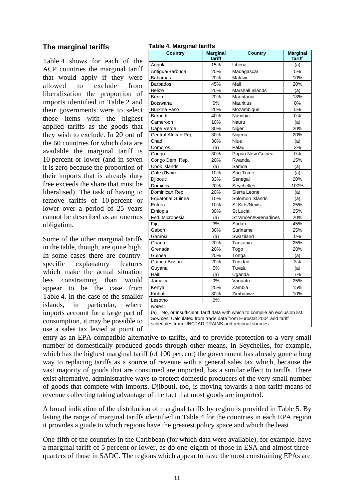#### **The marginal tariffs**

Table 4 shows for each of the ACP countries the marginal tariff that would apply if they were allowed to exclude from liberalisation the proportion of imports identified in Table 2 and their governments were to select those items with the highest applied tariffs as the goods that they wish to exclude. In 20 out of the 60 countries for which data are available the marginal tariff is 10 percent or lower (and in seven it is zero because the proportion of their imports that is already duty free exceeds the share that must be liberalised). The task of having to remove tariffs of 10 percent or lower over a period of 25 years cannot be described as an onerous obligation.

Some of the other marginal tariffs in the table, though, are quite high. In some cases there are countryspecific explanatory features which make the actual situation less constraining than would appear to be the case from Table 4. In the case of the smaller islands, in particular, where imports account for a large part of consumption, it may be possible to use a sales tax levied at point of entry as an EPA-compatible alternative to tariffs, and to provide protection to a very small

| <b>Country</b>                                                                                                                                                                                                        | <b>Marginal</b><br>tariff | <b>Country</b>        | <b>Marginal</b><br>tariff |  |  |  |  |
|-----------------------------------------------------------------------------------------------------------------------------------------------------------------------------------------------------------------------|---------------------------|-----------------------|---------------------------|--|--|--|--|
| Angola                                                                                                                                                                                                                | 15%                       | Liberia               | (a)                       |  |  |  |  |
| Antigua/Barbuda                                                                                                                                                                                                       | 20%                       | Madagascar            | 5%                        |  |  |  |  |
| <b>Bahamas</b>                                                                                                                                                                                                        | 20%                       | Malawi                | 10%                       |  |  |  |  |
| <b>Barbados</b>                                                                                                                                                                                                       | 45%                       | Mali                  | 20%                       |  |  |  |  |
| Belize                                                                                                                                                                                                                | 20%                       | Marshall Islands      | (a)                       |  |  |  |  |
| Benin                                                                                                                                                                                                                 | 20%                       | Mauritania            | 13%                       |  |  |  |  |
| Botswana                                                                                                                                                                                                              | 0%                        | <b>Mauritius</b>      | 0%                        |  |  |  |  |
| <b>Burkina Faso</b>                                                                                                                                                                                                   | 20%                       | Mozambique            | 5%                        |  |  |  |  |
| Burundi                                                                                                                                                                                                               | 40%                       | Namibia               | 0%                        |  |  |  |  |
| Cameroon                                                                                                                                                                                                              | 10%                       | Nauru                 | (a)                       |  |  |  |  |
| Cape Verde                                                                                                                                                                                                            | 30%                       | Niger                 | 20%                       |  |  |  |  |
| Central African Rep.                                                                                                                                                                                                  | 30%                       | Nigeria               | 20%                       |  |  |  |  |
| Chad                                                                                                                                                                                                                  | 30%                       | Niue                  | (a)                       |  |  |  |  |
| Comoros                                                                                                                                                                                                               | (a)                       | Palau                 | 3%                        |  |  |  |  |
| Congo                                                                                                                                                                                                                 | 30%                       | Papua New Guinea      | 0%                        |  |  |  |  |
| Congo Dem. Rep.                                                                                                                                                                                                       | 20%                       | Rwanda                | 15%                       |  |  |  |  |
| Cook Islands                                                                                                                                                                                                          | (a)                       | Samoa                 | (a)                       |  |  |  |  |
| Côte d'Ivoire                                                                                                                                                                                                         | 10%                       | Sao Tome              | (a)                       |  |  |  |  |
| Djibouti                                                                                                                                                                                                              | 33%                       | Senegal               | 20%                       |  |  |  |  |
| Dominica                                                                                                                                                                                                              | 20%                       | Seychelles            | 100%                      |  |  |  |  |
| Dominican Rep.                                                                                                                                                                                                        | 20%                       | Sierra Leone          | (a)                       |  |  |  |  |
| Equatorial Guinea                                                                                                                                                                                                     | 10%                       | Solomon Islands       | (a)                       |  |  |  |  |
| Eritrea                                                                                                                                                                                                               | 10%                       | <b>St Kitts/Nevis</b> | 25%                       |  |  |  |  |
| Ethiopia                                                                                                                                                                                                              | 30%                       | St Lucia              | 25%                       |  |  |  |  |
| Fed. Micronesia                                                                                                                                                                                                       | (a)                       | St Vincent/Grenadines | 20%                       |  |  |  |  |
| Fiji                                                                                                                                                                                                                  | 3%                        | Sudan                 | 45%                       |  |  |  |  |
| Gabon                                                                                                                                                                                                                 | 30%                       | Suriname              | 25%                       |  |  |  |  |
| Gambia                                                                                                                                                                                                                | (a)                       | Swaziland             | 0%                        |  |  |  |  |
| Ghana                                                                                                                                                                                                                 | 20%                       | Tanzania              | 25%                       |  |  |  |  |
| Grenada                                                                                                                                                                                                               | 20%                       | Togo                  | 20%                       |  |  |  |  |
| Guinea                                                                                                                                                                                                                | 20%                       | Tonga                 | (a)                       |  |  |  |  |
| Guinea Bissau                                                                                                                                                                                                         | 20%                       | Trinidad              | 3%                        |  |  |  |  |
| Guyana                                                                                                                                                                                                                | 5%                        | Tuvalu                | (a)                       |  |  |  |  |
| Haiti                                                                                                                                                                                                                 | (a)                       | Uganda                | 7%                        |  |  |  |  |
| Jamaica                                                                                                                                                                                                               | 0%                        | Vanuatu               | 25%                       |  |  |  |  |
| Kenya                                                                                                                                                                                                                 | 25%                       | Zambia                | 15%                       |  |  |  |  |
| Kiribati                                                                                                                                                                                                              | 30%                       | Zimbabwe              | 10%                       |  |  |  |  |
| Lesotho                                                                                                                                                                                                               | 0%                        |                       |                           |  |  |  |  |
| Notes:<br>No, or insufficient, tariff data with which to compile an exclusion list.<br>(a)<br>Sources: Calculated from trade data from Eurostat 2004 and tariff<br>schedules from UNCTAD TRAINS and regional sources. |                           |                       |                           |  |  |  |  |

number of domestically produced goods through other means. In Seychelles, for example, which has the highest marginal tariff (of 100 percent) the government has already gone a long way to replacing tariffs as a source of revenue with a general sales tax which, because the vast majority of goods that are consumed are imported, has a similar effect to tariffs. There exist alternative, administrative ways to protect domestic producers of the very small number of goods that compete with imports. Djibouti, too, is moving towards a non-tariff means of revenue collecting taking advantage of the fact that most goods are imported.

**Table 4. Marginal tariffs** 

A broad indication of the distribution of marginal tariffs by region is provided in Table 5. By listing the range of marginal tariffs identified in Table 4 for the countries in each EPA region it provides a guide to which regions have the greatest policy space and which the least.

One-fifth of the countries in the Caribbean (for which data were available), for example, have a marginal tariff of 5 percent or lower, as do one-eighth of those in ESA and almost threequarters of those in SADC. The regions which appear to have the most constraining EPAs are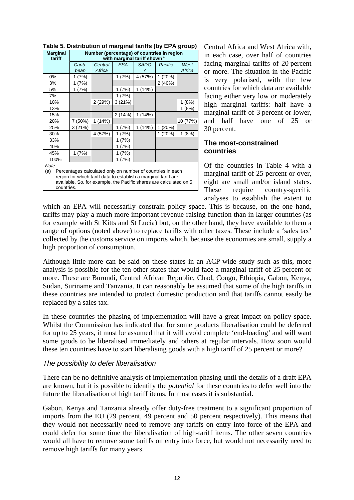| <b>Marginal</b><br>tariff                                                                                                                                                                                           | Number (percentage) of countries in region<br>with marginal tariff shown <sup>a</sup> |                   |            |                  |         |                |
|---------------------------------------------------------------------------------------------------------------------------------------------------------------------------------------------------------------------|---------------------------------------------------------------------------------------|-------------------|------------|------------------|---------|----------------|
|                                                                                                                                                                                                                     | Carib-<br>bean                                                                        | Central<br>Africa | <b>ESA</b> | <b>SADC</b><br>7 | Pacific | West<br>Africa |
| 0%                                                                                                                                                                                                                  | 1 (7%)                                                                                |                   | 1(7%)      | 4 (57%)          | 1 (20%) |                |
| 3%                                                                                                                                                                                                                  | 1(7%)                                                                                 |                   |            |                  | 2(40%)  |                |
| 5%                                                                                                                                                                                                                  | 1 (7%)                                                                                |                   | (7%)<br>1  | 1(14%)           |         |                |
| 7%                                                                                                                                                                                                                  |                                                                                       |                   | 1 (7%)     |                  |         |                |
| 10%                                                                                                                                                                                                                 |                                                                                       | 2(29%)            | 3(21%)     |                  |         | (8%)<br>1      |
| 13%                                                                                                                                                                                                                 |                                                                                       |                   |            |                  |         | 1(8%)          |
| 15%                                                                                                                                                                                                                 |                                                                                       |                   | 2(14%)     | 1(14%)           |         |                |
| 20%                                                                                                                                                                                                                 | 7 (50%)                                                                               | 1(14%)            |            |                  |         | 10 (77%)       |
| 25%                                                                                                                                                                                                                 | 3(21%)                                                                                |                   | 1 (7%)     | 1(14%)           | 1 (20%) |                |
| 30%                                                                                                                                                                                                                 |                                                                                       | 4 (57%)           | (7%)<br>1. |                  | 1 (20%) | 1(8%)          |
| 33%                                                                                                                                                                                                                 |                                                                                       |                   | (7%)<br>1  |                  |         |                |
| 40%                                                                                                                                                                                                                 |                                                                                       |                   | 1 (7%)     |                  |         |                |
| 45%                                                                                                                                                                                                                 | 1 (7%)                                                                                |                   | 1 (7%)     |                  |         |                |
| 100%                                                                                                                                                                                                                |                                                                                       |                   | 1 (7%)     |                  |         |                |
| Note:<br>Percentages calculated only on number of countries in each<br>(a)<br>region for which tariff data to establish a marginal tariff are<br>available. So, for example, the Pacific shares are calculated on 5 |                                                                                       |                   |            |                  |         |                |

countries.

|--|

Central Africa and West Africa with, in each case, over half of countries facing marginal tariffs of 20 percent or more. The situation in the Pacific is very polarised, with the few countries for which data are available facing either very low or moderately high marginal tariffs: half have a marginal tariff of 3 percent or lower, and half have one of 25 or 30 percent.

#### **The most-constrained countries**

Of the countries in Table 4 with a marginal tariff of 25 percent or over, eight are small and/or island states. These require country-specific analyses to establish the extent to

which an EPA will necessarily constrain policy space. This is because, on the one hand, tariffs may play a much more important revenue-raising function than in larger countries (as for example with St Kitts and St Lucia) but, on the other hand, they have available to them a range of options (noted above) to replace tariffs with other taxes. These include a 'sales tax' collected by the customs service on imports which, because the economies are small, supply a high proportion of consumption.

Although little more can be said on these states in an ACP-wide study such as this, more analysis is possible for the ten other states that would face a marginal tariff of 25 percent or more. These are Burundi, Central African Republic, Chad, Congo, Ethiopia, Gabon, Kenya, Sudan, Suriname and Tanzania. It can reasonably be assumed that some of the high tariffs in these countries are intended to protect domestic production and that tariffs cannot easily be replaced by a sales tax.

In these countries the phasing of implementation will have a great impact on policy space. Whilst the Commission has indicated that for some products liberalisation could be deferred for up to 25 years, it must be assumed that it will avoid complete 'end-loading' and will want some goods to be liberalised immediately and others at regular intervals. How soon would these ten countries have to start liberalising goods with a high tariff of 25 percent or more?

#### *The possibility to defer liberalisation*

There can be no definitive analysis of implementation phasing until the details of a draft EPA are known, but it is possible to identify the *potential* for these countries to defer well into the future the liberalisation of high tariff items. In most cases it is substantial.

Gabon, Kenya and Tanzania already offer duty-free treatment to a significant proportion of imports from the EU (29 percent, 49 percent and 50 percent respectively). This means that they would not necessarily need to remove any tariffs on entry into force of the EPA and could defer for some time the liberalisation of high-tariff items. The other seven countries would all have to remove some tariffs on entry into force, but would not necessarily need to remove high tariffs for many years.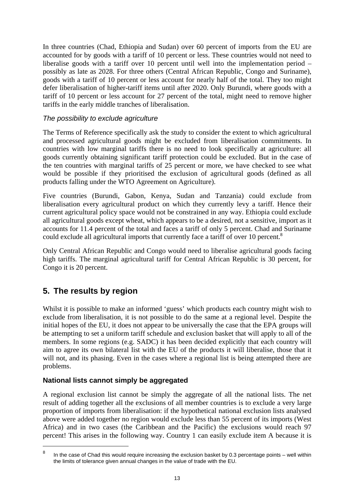In three countries (Chad, Ethiopia and Sudan) over 60 percent of imports from the EU are accounted for by goods with a tariff of 10 percent or less. These countries would not need to liberalise goods with a tariff over 10 percent until well into the implementation period – possibly as late as 2028. For three others (Central African Republic, Congo and Suriname), goods with a tariff of 10 percent or less account for nearly half of the total. They too might defer liberalisation of higher-tariff items until after 2020. Only Burundi, where goods with a tariff of 10 percent or less account for 27 percent of the total, might need to remove higher tariffs in the early middle tranches of liberalisation.

#### *The possibility to exclude agriculture*

The Terms of Reference specifically ask the study to consider the extent to which agricultural and processed agricultural goods might be excluded from liberalisation commitments. In countries with low marginal tariffs there is no need to look specifically at agriculture: all goods currently obtaining significant tariff protection could be excluded. But in the case of the ten countries with marginal tariffs of 25 percent or more, we have checked to see what would be possible if they prioritised the exclusion of agricultural goods (defined as all products falling under the WTO Agreement on Agriculture).

Five countries (Burundi, Gabon, Kenya, Sudan and Tanzania) could exclude from liberalisation every agricultural product on which they currently levy a tariff. Hence their current agricultural policy space would not be constrained in any way. Ethiopia could exclude all agricultural goods except wheat, which appears to be a desired, not a sensitive, import as it accounts for 11.4 percent of the total and faces a tariff of only 5 percent. Chad and Suriname could exclude all agricultural imports that currently face a tariff of over 10 percent.<sup>8</sup>

Only Central African Republic and Congo would need to liberalise agricultural goods facing high tariffs. The marginal agricultural tariff for Central African Republic is 30 percent, for Congo it is 20 percent.

# **5. The results by region**

 $\overline{a}$ 

Whilst it is possible to make an informed 'guess' which products each country might wish to exclude from liberalisation, it is not possible to do the same at a regional level. Despite the initial hopes of the EU, it does not appear to be universally the case that the EPA groups will be attempting to set a uniform tariff schedule and exclusion basket that will apply to all of the members. In some regions (e.g. SADC) it has been decided explicitly that each country will aim to agree its own bilateral list with the EU of the products it will liberalise, those that it will not, and its phasing. Even in the cases where a regional list is being attempted there are problems.

#### **National lists cannot simply be aggregated**

A regional exclusion list cannot be simply the aggregate of all the national lists. The net result of adding together all the exclusions of all member countries is to exclude a very large proportion of imports from liberalisation: if the hypothetical national exclusion lists analysed above were added together no region would exclude less than 55 percent of its imports (West Africa) and in two cases (the Caribbean and the Pacific) the exclusions would reach 97 percent! This arises in the following way. Country 1 can easily exclude item A because it is

<sup>8</sup> In the case of Chad this would require increasing the exclusion basket by 0.3 percentage points – well within the limits of tolerance given annual changes in the value of trade with the EU.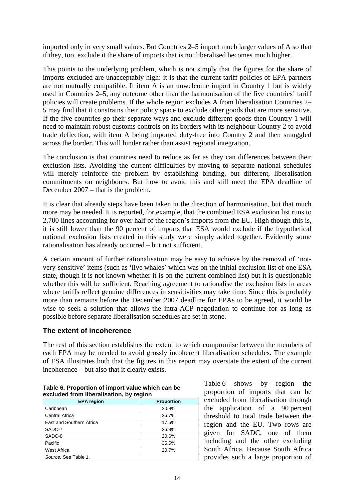imported only in very small values. But Countries 2–5 import much larger values of A so that if they, too, exclude it the share of imports that is not liberalised becomes much higher.

This points to the underlying problem, which is not simply that the figures for the share of imports excluded are unacceptably high: it is that the current tariff policies of EPA partners are not mutually compatible. If item A is an unwelcome import in Country 1 but is widely used in Countries 2–5, any outcome other than the harmonisation of the five countries' tariff policies will create problems. If the whole region excludes A from liberalisation Countries 2– 5 may find that it constrains their policy space to exclude other goods that are more sensitive. If the five countries go their separate ways and exclude different goods then Country 1 will need to maintain robust customs controls on its borders with its neighbour Country 2 to avoid trade deflection, with item A being imported duty-free into Country 2 and then smuggled across the border. This will hinder rather than assist regional integration.

The conclusion is that countries need to reduce as far as they can differences between their exclusion lists. Avoiding the current difficulties by moving to separate national schedules will merely reinforce the problem by establishing binding, but different, liberalisation commitments on neighbours. But how to avoid this and still meet the EPA deadline of December 2007 – that is the problem.

It is clear that already steps have been taken in the direction of harmonisation, but that much more may be needed. It is reported, for example, that the combined ESA exclusion list runs to 2,700 lines accounting for over half of the region's imports from the EU. High though this is, it is still lower than the 90 percent of imports that ESA would exclude if the hypothetical national exclusion lists created in this study were simply added together. Evidently some rationalisation has already occurred – but not sufficient.

A certain amount of further rationalisation may be easy to achieve by the removal of 'notvery-sensitive' items (such as 'live whales' which was on the initial exclusion list of one ESA state, though it is not known whether it is on the current combined list) but it is questionable whether this will be sufficient. Reaching agreement to rationalise the exclusion lists in areas where tariffs reflect genuine differences in sensitivities may take time. Since this is probably more than remains before the December 2007 deadline for EPAs to be agreed, it would be wise to seek a solution that allows the intra-ACP negotiation to continue for as long as possible before separate liberalisation schedules are set in stone.

#### **The extent of incoherence**

The rest of this section establishes the extent to which compromise between the members of each EPA may be needed to avoid grossly incoherent liberalisation schedules. The example of ESA illustrates both that the figures in this report may overstate the extent of the current incoherence – but also that it clearly exists.

| excluded from liberalisation, by region<br><b>EPA region</b><br><b>Proportion</b> |       |  |  |  |  |  |
|-----------------------------------------------------------------------------------|-------|--|--|--|--|--|
| Caribbean                                                                         | 20.8% |  |  |  |  |  |
| <b>Central Africa</b>                                                             | 26.7% |  |  |  |  |  |
| East and Southern Africa                                                          | 17.6% |  |  |  |  |  |
| SADC-7                                                                            | 26.9% |  |  |  |  |  |
| SADC-8                                                                            | 20.6% |  |  |  |  |  |
| Pacific                                                                           | 35.5% |  |  |  |  |  |
| <b>West Africa</b>                                                                | 20.7% |  |  |  |  |  |
| Source: See Table 1.                                                              |       |  |  |  |  |  |

| Table 6. Proportion of import value which can be |
|--------------------------------------------------|
| excluded from liberalisation, by region          |

Table 6 shows by region the proportion of imports that can be excluded from liberalisation through the application of a 90 percent threshold to total trade between the region and the EU. Two rows are given for SADC, one of them including and the other excluding South Africa. Because South Africa provides such a large proportion of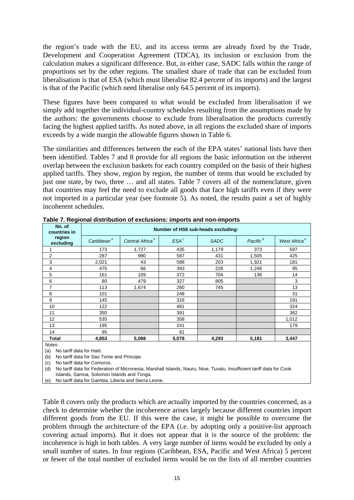the region's trade with the EU, and its access terms are already fixed by the Trade, Development and Cooperation Agreement (TDCA), its inclusion or exclusion from the calculation makes a significant difference. But, in either case, SADC falls within the range of proportions set by the other regions. The smallest share of trade that can be excluded from liberalisation is that of ESA (which must liberalise 82.4 percent of its imports) and the largest is that of the Pacific (which need liberalise only 64.5 percent of its imports).

These figures have been compared to what would be excluded from liberalisation if we simply add together the individual-country schedules resulting from the assumptions made by the authors: the governments choose to exclude from liberalisation the products currently facing the highest applied tariffs. As noted above, in all regions the excluded share of imports exceeds by a wide margin the allowable figures shown in Table 6.

The similarities and differences between the each of the EPA states' national lists have then been identified. Tables 7 and 8 provide for all regions the basic information on the inherent overlap between the exclusion baskets for each country compiled on the basis of their highest applied tariffs. They show, region by region, the number of items that would be excluded by just one state, by two, three … and all states. Table 7 covers all of the nomenclature, given that countries may feel the need to exclude all goods that face high tariffs even if they were not imported in a particular year (see footnote 5). As noted, the results paint a set of highly incoherent schedules.

| No. of<br>countries in | Number of HS6 sub-heads excluding: |                             |                  |             |                      |                          |
|------------------------|------------------------------------|-----------------------------|------------------|-------------|----------------------|--------------------------|
| region<br>excluding    | Caribbean <sup>ª</sup>             | Central Africa <sup>b</sup> | ESA <sup>c</sup> | <b>SADC</b> | Pacific <sup>d</sup> | West Africa <sup>e</sup> |
|                        | 173                                | 1,727                       | 435              | 1,179       | 373                  | 597                      |
| 2                      | 287                                | 990                         | 587              | 431         | 1,505                | 425                      |
| 3                      | 2,021                              | 43                          | 588              | 203         | 1,921                | 181                      |
| 4                      | 475                                | 66                          | 393              | 226         | 1,246                | 95                       |
| 5                      | 161                                | 109                         | 372              | 704         | 136                  | 14                       |
| 6                      | 80                                 | 479                         | 327              | 805         |                      | 3                        |
| 7                      | 113                                | 1,674                       | 260              | 745         |                      | 13                       |
| 8                      | 101                                |                             | 248              |             |                      | 31                       |
| 9                      | 145                                |                             | 316              |             |                      | 191                      |
| 10                     | 122                                |                             | 481              |             |                      | 324                      |
| 11                     | 350                                |                             | 391              |             |                      | 382                      |
| 12                     | 535                                |                             | 358              |             |                      | 1,012                    |
| 13                     | 195                                |                             | 241              |             |                      | 179                      |
| 14                     | 95                                 |                             | 81               |             |                      |                          |
| Total                  | 4,853                              | 5,088                       | 5,078            | 4,293       | 5,181                | 3,447                    |
| $\cdots$               |                                    |                             |                  |             |                      |                          |

**Table 7. Regional distribution of exclusions: imports and non-imports** 

*Notes:* 

(a) No tariff data for Haiti.

(b) No tariff data for Sao Tome and Principe.

(c) No tariff data for Comoros.

(d) No tariff data for Federation of Micronesia, Marshall Islands, Nauru, Niue, Tuvalu. Insufficient tariff data for Cook Islands, Samoa, Solomon Islands and Tonga.

(e) No tariff data for Gambia, Liberia and Sierra Leone.

Table 8 covers only the products which are actually imported by the countries concerned, as a check to determine whether the incoherence arises largely because different countries import different goods from the EU. If this were the case, it might be possible to overcome the problem through the architecture of the EPA (i.e. by adopting only a positive-list approach covering actual imports). But it does not appear that it is the source of the problem: the incoherence is high in both tables. A very large number of items would be excluded by only a small number of states. In four regions (Caribbean, ESA, Pacific and West Africa) 5 percent or fewer of the total number of excluded items would be on the lists of all member countries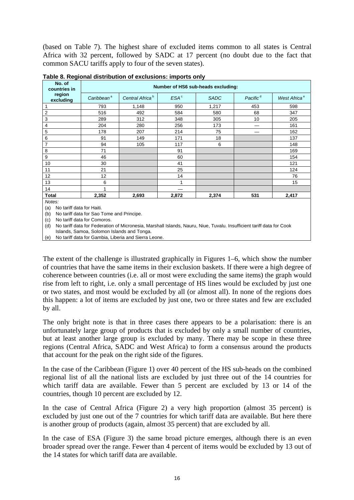(based on Table 7). The highest share of excluded items common to all states is Central Africa with 32 percent, followed by SADC at 17 percent (no doubt due to the fact that common SACU tariffs apply to four of the seven states).

| No. of<br>countries in                     | Number of HS6 sub-heads excluding: |                             |                  |             |                      |                          |
|--------------------------------------------|------------------------------------|-----------------------------|------------------|-------------|----------------------|--------------------------|
| region<br>excluding                        | Caribbean <sup>a</sup>             | Central Africa <sup>b</sup> | ESA <sup>c</sup> | <b>SADC</b> | Pacific <sup>d</sup> | West Africa <sup>e</sup> |
| 1                                          | 793                                | 1,148                       | 950              | 1,217       | 453                  | 598                      |
| $\sqrt{2}$                                 | 516                                | 492                         | 584              | 580         | 68                   | 347                      |
| 3                                          | 289                                | 312                         | 348              | 305         | 10                   | 205                      |
| 4                                          | 204                                | 280                         | 256              | 173         |                      | 161                      |
| 5                                          | 178                                | 207                         | 214              | 75          |                      | 162                      |
| 6                                          | 91                                 | 149                         | 171              | 18          |                      | 137                      |
| 7                                          | 94                                 | 105                         | 117              | 6           |                      | 148                      |
| 8                                          | 71                                 |                             | 91               |             |                      | 169                      |
| 9                                          | 46                                 |                             | 60               |             |                      | 154                      |
| 10                                         | 30                                 |                             | 41               |             |                      | 121                      |
| 11                                         | 21                                 |                             | 25               |             |                      | 124                      |
| 12                                         | 12                                 |                             | 14               |             |                      | 76                       |
| 13                                         | 6                                  |                             | 1                |             |                      | 15                       |
| 14                                         |                                    |                             |                  |             |                      |                          |
| <b>Total</b>                               | 2,352                              | 2,693                       | 2,872            | 2,374       | 531                  | 2,417                    |
| Notes:<br>No tariff data for Haiti.<br>(a) |                                    |                             |                  |             |                      |                          |

|  | Table 8. Regional distribution of exclusions: imports only |  |
|--|------------------------------------------------------------|--|
|  |                                                            |  |

(b) No tariff data for Sao Tome and Principe.

(c) No tariff data for Comoros.

(d) No tariff data for Federation of Micronesia, Marshall Islands, Nauru, Niue, Tuvalu. Insufficient tariff data for Cook

Islands, Samoa, Solomon Islands and Tonga. (e) No tariff data for Gambia, Liberia and Sierra Leone.

The extent of the challenge is illustrated graphically in Figures 1–6, which show the number of countries that have the same items in their exclusion baskets. If there were a high degree of coherence between countries (i.e. all or most were excluding the same items) the graph would rise from left to right, i.e. only a small percentage of HS lines would be excluded by just one or two states, and most would be excluded by all (or almost all). In none of the regions does this happen: a lot of items are excluded by just one, two or three states and few are excluded by all.

The only bright note is that in three cases there appears to be a polarisation: there is an unfortunately large group of products that is excluded by only a small number of countries, but at least another large group is excluded by many. There may be scope in these three regions (Central Africa, SADC and West Africa) to form a consensus around the products that account for the peak on the right side of the figures.

In the case of the Caribbean (Figure 1) over 40 percent of the HS sub-heads on the combined regional list of all the national lists are excluded by just three out of the 14 countries for which tariff data are available. Fewer than 5 percent are excluded by 13 or 14 of the countries, though 10 percent are excluded by 12.

In the case of Central Africa (Figure 2) a very high proportion (almost 35 percent) is excluded by just one out of the 7 countries for which tariff data are available. But here there is another group of products (again, almost 35 percent) that are excluded by all.

In the case of ESA (Figure 3) the same broad picture emerges, although there is an even broader spread over the range. Fewer than 4 percent of items would be excluded by 13 out of the 14 states for which tariff data are available.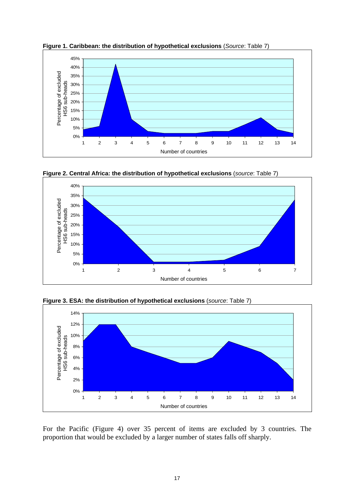

**Figure 1. Caribbean: the distribution of hypothetical exclusions** (*Source*: Table 7)







**Figure 3. ESA: the distribution of hypothetical exclusions** (*source*: Table 7)

For the Pacific (Figure 4) over 35 percent of items are excluded by 3 countries. The proportion that would be excluded by a larger number of states falls off sharply.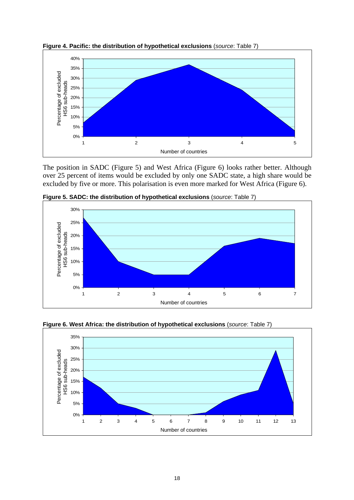

**Figure 4. Pacific: the distribution of hypothetical exclusions** (*source*: Table 7)

The position in SADC (Figure 5) and West Africa (Figure 6) looks rather better. Although over 25 percent of items would be excluded by only one SADC state, a high share would be excluded by five or more. This polarisation is even more marked for West Africa (Figure 6).



**Figure 5. SADC: the distribution of hypothetical exclusions** (*source*: Table 7)



**Figure 6. West Africa: the distribution of hypothetical exclusions** (*source*: Table 7)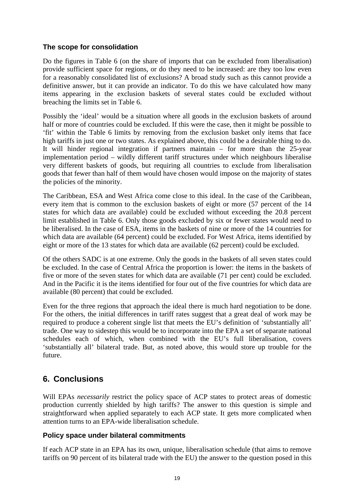#### **The scope for consolidation**

Do the figures in Table 6 (on the share of imports that can be excluded from liberalisation) provide sufficient space for regions, or do they need to be increased: are they too low even for a reasonably consolidated list of exclusions? A broad study such as this cannot provide a definitive answer, but it can provide an indicator. To do this we have calculated how many items appearing in the exclusion baskets of several states could be excluded without breaching the limits set in Table 6.

Possibly the 'ideal' would be a situation where all goods in the exclusion baskets of around half or more of countries could be excluded. If this were the case, then it might be possible to 'fit' within the Table 6 limits by removing from the exclusion basket only items that face high tariffs in just one or two states. As explained above, this could be a desirable thing to do. It will hinder regional integration if partners maintain – for more than the 25-year implementation period – wildly different tariff structures under which neighbours liberalise very different baskets of goods, but requiring all countries to exclude from liberalisation goods that fewer than half of them would have chosen would impose on the majority of states the policies of the minority.

The Caribbean, ESA and West Africa come close to this ideal. In the case of the Caribbean, every item that is common to the exclusion baskets of eight or more (57 percent of the 14 states for which data are available) could be excluded without exceeding the 20.8 percent limit established in Table 6. Only those goods excluded by six or fewer states would need to be liberalised. In the case of ESA, items in the baskets of nine or more of the 14 countries for which data are available (64 percent) could be excluded. For West Africa, items identified by eight or more of the 13 states for which data are available (62 percent) could be excluded.

Of the others SADC is at one extreme. Only the goods in the baskets of all seven states could be excluded. In the case of Central Africa the proportion is lower: the items in the baskets of five or more of the seven states for which data are available (71 per cent) could be excluded. And in the Pacific it is the items identified for four out of the five countries for which data are available (80 percent) that could be excluded.

Even for the three regions that approach the ideal there is much hard negotiation to be done. For the others, the initial differences in tariff rates suggest that a great deal of work may be required to produce a coherent single list that meets the EU's definition of 'substantially all' trade. One way to sidestep this would be to incorporate into the EPA a set of separate national schedules each of which, when combined with the EU's full liberalisation, covers 'substantially all' bilateral trade. But, as noted above, this would store up trouble for the future.

# **6. Conclusions**

Will EPAs *necessarily* restrict the policy space of ACP states to protect areas of domestic production currently shielded by high tariffs? The answer to this question is simple and straightforward when applied separately to each ACP state. It gets more complicated when attention turns to an EPA-wide liberalisation schedule.

#### **Policy space under bilateral commitments**

If each ACP state in an EPA has its own, unique, liberalisation schedule (that aims to remove tariffs on 90 percent of its bilateral trade with the EU) the answer to the question posed in this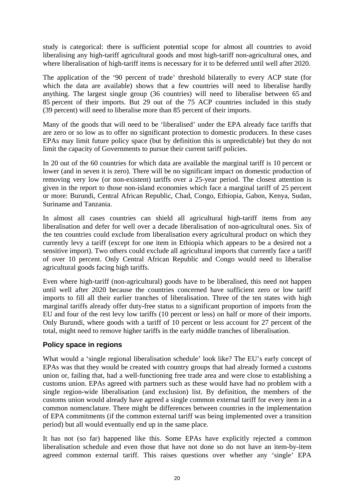study is categorical: there is sufficient potential scope for almost all countries to avoid liberalising any high-tariff agricultural goods and most high-tariff non-agricultural ones, and where liberalisation of high-tariff items is necessary for it to be deferred until well after 2020.

The application of the '90 percent of trade' threshold bilaterally to every ACP state (for which the data are available) shows that a few countries will need to liberalise hardly anything. The largest single group (36 countries) will need to liberalise between 65 and 85 percent of their imports. But 29 out of the 75 ACP countries included in this study (39 percent) will need to liberalise more than 85 percent of their imports.

Many of the goods that will need to be 'liberalised' under the EPA already face tariffs that are zero or so low as to offer no significant protection to domestic producers. In these cases EPAs may limit future policy space (but by definition this is unpredictable) but they do not limit the capacity of Governments to pursue their current tariff policies.

In 20 out of the 60 countries for which data are available the marginal tariff is 10 percent or lower (and in seven it is zero). There will be no significant impact on domestic production of removing very low (or non-existent) tariffs over a 25-year period. The closest attention is given in the report to those non-island economies which face a marginal tariff of 25 percent or more: Burundi, Central African Republic, Chad, Congo, Ethiopia, Gabon, Kenya, Sudan, Suriname and Tanzania.

In almost all cases countries can shield all agricultural high-tariff items from any liberalisation and defer for well over a decade liberalisation of non-agricultural ones. Six of the ten countries could exclude from liberalisation every agricultural product on which they currently levy a tariff (except for one item in Ethiopia which appears to be a desired not a sensitive import). Two others could exclude all agricultural imports that currently face a tariff of over 10 percent. Only Central African Republic and Congo would need to liberalise agricultural goods facing high tariffs.

Even where high-tariff (non-agricultural) goods have to be liberalised, this need not happen until well after 2020 because the countries concerned have sufficient zero or low tariff imports to fill all their earlier tranches of liberalisation. Three of the ten states with high marginal tariffs already offer duty-free status to a significant proportion of imports from the EU and four of the rest levy low tariffs (10 percent or less) on half or more of their imports. Only Burundi, where goods with a tariff of 10 percent or less account for 27 percent of the total, might need to remove higher tariffs in the early middle tranches of liberalisation.

#### **Policy space in regions**

What would a 'single regional liberalisation schedule' look like? The EU's early concept of EPAs was that they would be created with country groups that had already formed a customs union or, failing that, had a well-functioning free trade area and were close to establishing a customs union. EPAs agreed with partners such as these would have had no problem with a single region-wide liberalisation (and exclusion) list. By definition, the members of the customs union would already have agreed a single common external tariff for every item in a common nomenclature. There might be differences between countries in the implementation of EPA commitments (if the common external tariff was being implemented over a transition period) but all would eventually end up in the same place.

It has not (so far) happened like this. Some EPAs have explicitly rejected a common liberalisation schedule and even those that have not done so do not have an item-by-item agreed common external tariff. This raises questions over whether any 'single' EPA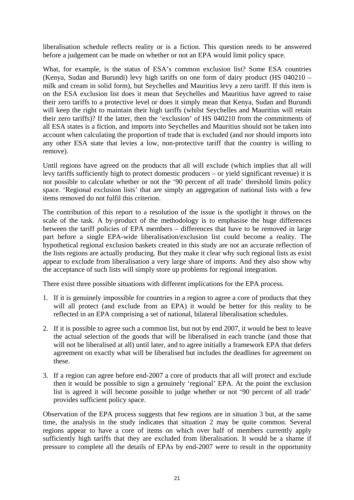liberalisation schedule reflects reality or is a fiction. This question needs to be answered before a judgement can be made on whether or not an EPA would limit policy space.

What, for example, is the status of ESA's common exclusion list? Some ESA countries (Kenya, Sudan and Burundi) levy high tariffs on one form of dairy product (HS 040210 – milk and cream in solid form), but Seychelles and Mauritius levy a zero tariff. If this item is on the ESA exclusion list does it mean that Seychelles and Mauritius have agreed to raise their zero tariffs to a protective level or does it simply mean that Kenya, Sudan and Burundi will keep the right to maintain their high tariffs (whilst Seychelles and Mauritius will retain their zero tariffs)? If the latter, then the 'exclusion' of HS 040210 from the commitments of all ESA states is a fiction, and imports into Seychelles and Mauritius should not be taken into account when calculating the proportion of trade that is excluded (and nor should imports into any other ESA state that levies a low, non-protective tariff that the country is willing to remove).

Until regions have agreed on the products that all will exclude (which implies that all will levy tariffs sufficiently high to protect domestic producers – or yield significant revenue) it is not possible to calculate whether or not the '90 percent of all trade' threshold limits policy space. 'Regional exclusion lists' that are simply an aggregation of national lists with a few items removed do not fulfil this criterion.

The contribution of this report to a resolution of the issue is the spotlight it throws on the scale of the task. A by-product of the methodology is to emphasise the huge differences between the tariff policies of EPA members – differences that have to be removed in large part before a single EPA-wide liberalisation/exclusion list could become a reality. The hypothetical regional exclusion baskets created in this study are not an accurate reflection of the lists regions are actually producing. But they make it clear why such regional lists as exist appear to exclude from liberalisation a very large share of imports. And they also show why the acceptance of such lists will simply store up problems for regional integration.

There exist three possible situations with different implications for the EPA process.

- 1. If it is genuinely impossible for countries in a region to agree a core of products that they will all protect (and exclude from an EPA) it would be better for this reality to be reflected in an EPA comprising a set of national, bilateral liberalisation schedules.
- 2. If it is possible to agree such a common list, but not by end 2007, it would be best to leave the actual selection of the goods that will be liberalised in each tranche (and those that will not be liberalised at all) until later, and to agree initially a framework EPA that defers agreement on exactly what will be liberalised but includes the deadlines for agreement on these.
- 3. If a region can agree before end-2007 a core of products that all will protect and exclude then it would be possible to sign a genuinely 'regional' EPA. At the point the exclusion list is agreed it will become possible to judge whether or not '90 percent of all trade' provides sufficient policy space.

Observation of the EPA process suggests that few regions are in situation 3 but, at the same time, the analysis in the study indicates that situation 2 may be quite common. Several regions appear to have a core of items on which over half of members currently apply sufficiently high tariffs that they are excluded from liberalisation. It would be a shame if pressure to complete all the details of EPAs by end-2007 were to result in the opportunity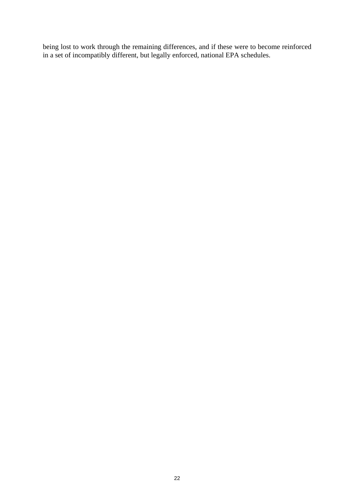being lost to work through the remaining differences, and if these were to become reinforced in a set of incompatibly different, but legally enforced, national EPA schedules.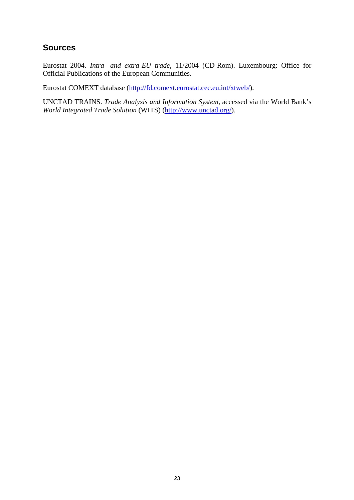# **Sources**

Eurostat 2004. *Intra- and extra-EU trade*, 11/2004 (CD-Rom). Luxembourg: Office for Official Publications of the European Communities.

Eurostat COMEXT database (http://fd.comext.eurostat.cec.eu.int/xtweb/).

UNCTAD TRAINS. *Trade Analysis and Information System*, accessed via the World Bank's *World Integrated Trade Solution* (WITS) (http://www.unctad.org/).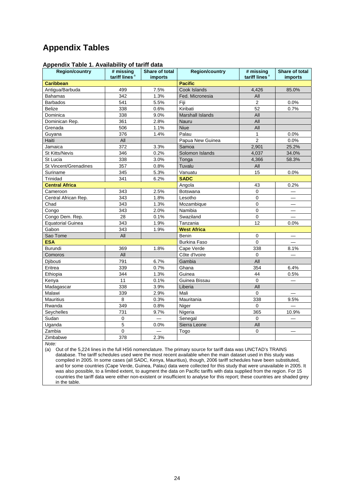# **Appendix Tables**

| <b>Region/country</b>    | # missing<br>tariff lines <sup>a</sup> | <b>Share of total</b><br><i>imports</i> | <b>Region/country</b> | # missing<br>tariff lines <sup>a</sup> | Share of total<br><i>imports</i> |
|--------------------------|----------------------------------------|-----------------------------------------|-----------------------|----------------------------------------|----------------------------------|
| <b>Caribbean</b>         |                                        |                                         | <b>Pacific</b>        |                                        |                                  |
| Antigua/Barbuda          | 499                                    | 7.5%                                    | Cook Islands          | 4,426                                  | 85.0%                            |
| Bahamas                  | 342                                    | 1.3%                                    | Fed. Micronesia       | All                                    |                                  |
| <b>Barbados</b>          | 541                                    | 5.5%                                    | Fiji                  | $\overline{2}$                         | 0.0%                             |
| <b>Belize</b>            | 338                                    | 0.6%                                    | Kiribati              | 52                                     | 0.7%                             |
| Dominica                 | 338                                    | 9.0%                                    | Marshall Islands      | All                                    |                                  |
| Dominican Rep.           | 361                                    | 2.8%                                    | Nauru                 | All                                    |                                  |
| Grenada                  | 506                                    | 1.1%                                    | <b>Niue</b>           | All                                    |                                  |
| Guyana                   | 376                                    | 1.4%                                    | Palau                 | $\mathbf{1}$                           | 0.0%                             |
| Haiti                    | All                                    |                                         | Papua New Guinea      | $\overline{2}$                         | 0.0%                             |
| Jamaica                  | 372                                    | 3.3%                                    | Samoa                 | 2,901                                  | 25.2%                            |
| <b>St Kitts/Nevis</b>    | 346                                    | 0.2%                                    | Solomon Islands       | 4,037                                  | 34.0%                            |
| St Lucia                 | 338                                    | 3.0%                                    | Tonga                 | 4,366                                  | 58.3%                            |
| St Vincent/Grenadines    | 357                                    | 0.8%                                    | Tuvalu                | All                                    |                                  |
| Suriname                 | 345                                    | 5.3%                                    | Vanuatu               | 15                                     | 0.0%                             |
| Trinidad                 | 341                                    | 6.2%                                    | <b>SADC</b>           |                                        |                                  |
| <b>Central Africa</b>    |                                        |                                         | Angola                | 43                                     | 0.2%                             |
| Cameroon                 | 343                                    | 2.5%                                    | Botswana              | 0                                      |                                  |
| Central African Rep.     | 343                                    | 1.8%                                    | Lesotho               | $\Omega$                               | $\overline{\phantom{0}}$         |
| Chad                     | 343                                    | 1.3%                                    | Mozambique            | 0                                      |                                  |
| Congo                    | 343                                    | 2.0%                                    | Namibia               | 0                                      |                                  |
| Congo Dem. Rep.          | 28                                     | 0.1%                                    | Swaziland             | $\mathbf 0$                            |                                  |
| <b>Equatorial Guinea</b> | 343                                    | 1.9%                                    | Tanzania              | 12                                     | 0.0%                             |
| Gabon                    | 343                                    | 1.9%                                    | <b>West Africa</b>    |                                        |                                  |
| Sao Tome                 | All                                    |                                         | Benin                 | 0                                      |                                  |
| <b>ESA</b>               |                                        |                                         | <b>Burkina Faso</b>   | $\Omega$                               |                                  |
| <b>Burundi</b>           | 369                                    | 1.8%                                    | Cape Verde            | 338                                    | 8.1%                             |
| Comoros                  | All                                    |                                         | Côte d'Ivoire         | $\Omega$                               |                                  |
| Djibouti                 | 791                                    | 6.7%                                    | Gambia                | All                                    |                                  |
| Eritrea                  | 339                                    | 0.7%                                    | Ghana                 | 354                                    | 6.4%                             |
| Ethiopia                 | 344                                    | 1.3%                                    | Guinea                | 44                                     | 0.5%                             |
| Kenya                    | 11                                     | 0.1%                                    | Guinea Bissau         | $\Omega$                               |                                  |
| Madagascar               | 338                                    | 3.9%                                    | Liberia               | All                                    |                                  |
| Malawi                   | 339                                    | 2.9%                                    | Mali                  | $\mathbf 0$                            | $\equiv$                         |
| <b>Mauritius</b>         | 8                                      | 0.3%                                    | Mauritania            | 338                                    | 9.5%                             |
| Rwanda                   | 349                                    | 0.8%                                    | Niger                 | $\Omega$                               |                                  |
| Seychelles               | 731                                    | 9.7%                                    | Nigeria               | 365                                    | 10.9%                            |
| Sudan                    | $\pmb{0}$                              |                                         | Senegal               | $\Omega$                               |                                  |
| Uganda                   | 5                                      | 0.0%                                    | Sierra Leone          | All                                    |                                  |
| Zambia                   | $\pmb{0}$                              |                                         | Togo                  | 0                                      |                                  |
| Zimbabwe                 | 378                                    | 2.3%                                    |                       |                                        |                                  |

#### **Appendix Table 1. Availability of tariff data**

*Note:*

(a) Out of the 5,224 lines in the full HS6 nomenclature. The primary source for tariff data was UNCTAD's TRAINS database. The tariff schedules used were the most recent available when the main dataset used in this study was compiled in 2005. In some cases (all SADC, Kenya, Mauritius), though, 2006 tariff schedules have been substituted, and for some countries (Cape Verde, Guinea, Palau) data were collected for this study that were unavailable in 2005. It was also possible, to a limited extent, to augment the data on Pacific tariffs with data supplied from the region. For 15 countries the tariff data were either non-existent or insufficient to analyse for this report; these countries are shaded grey in the table.